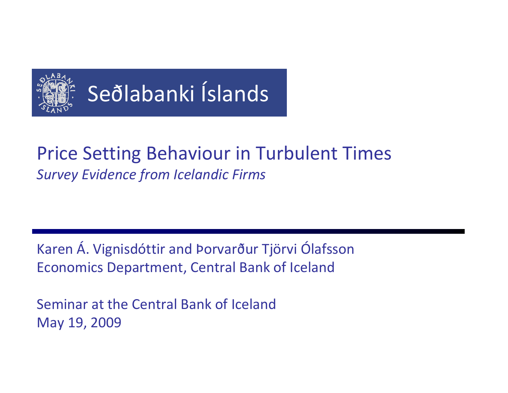

# Seðlabanki Íslands

### Price Setting Behaviour in Turbulent Times *Survey Evidence from Icelandic Firms*

Karen Á. Vignisdóttir and Þorvarður Tjörvi Ólafsson Economics Department, Central Bank of Iceland

Seminar at the Central Bank of IcelandMay 19, 2009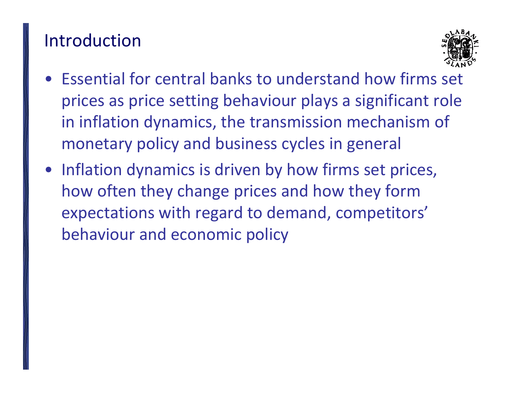### Introduction



- Essential for central banks to understand how firms set prices as price setting behaviour plays <sup>a</sup> significant role in inflation dynamics, the transmission mechanism of monetary policy and business cycles in general
- Inflation dynamics is driven by how firms set prices, how often they change prices and how they form expectations with regard to demand, competitors' behaviour and economic policy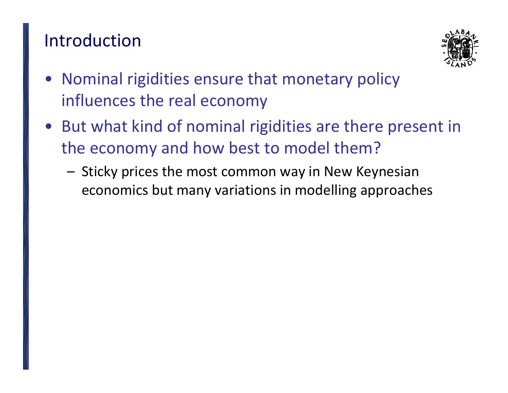# Introduction



- Nominal rigidities ensure that monetary policy influences the real economy
- But what kind of nominal rigidities are there present in the economy and how best to model them?
	- – Sticky prices the most common way in New Keynesian economics but many variations in modelling approaches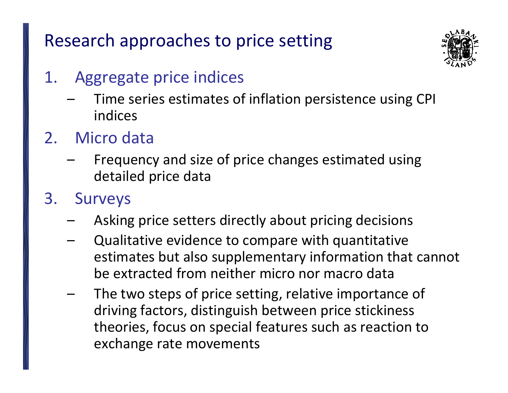Research approaches to price setting



### 1. Aggregate price indices

- – Time series estimates of inflation persistence using CPI indices
- 2. Micro data
	- – Frequency and size of price changes estimated using detailed price data
- 3. Surveys
	- –Asking price setters directly about pricing decisions
	- – Qualitative evidence to compare with quantitative estimates but also supplementary information that cannot be extracted from neither micro nor macro data
	- – The two steps of price setting, relative importance of driving factors, distinguish between price stickiness theories, focus on special features such as reaction to exchange rate movements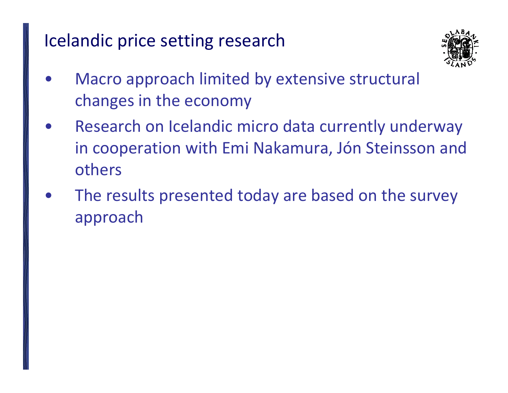# Icelandic price setting research



- • Macro approach limited by extensive structural changes in the economy
- • Research on Icelandic micro data currently underway in cooperation with Emi Nakamura, Jón Steinsson and others
- $\bullet$  The results presented today are based on the survey approach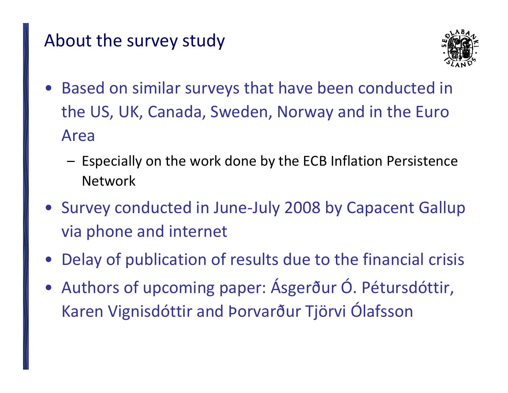# About the survey study



- $\bullet$  Based on similar surveys that have been conducted in the US, UK, Canada, Sweden, Norway and in the Euro Area
	- – Especially on the work done by the ECB Inflation Persistence Network
- Survey conducted in June‐July 2008 by Capacent Gallup via phone and internet
- Delay of publication of results due to the financial crisis
- Authors of upcoming paper: Ásgerður Ó. Pétursdóttir, Karen Vignisdóttir and Þorvarður Tjörvi Ólafsson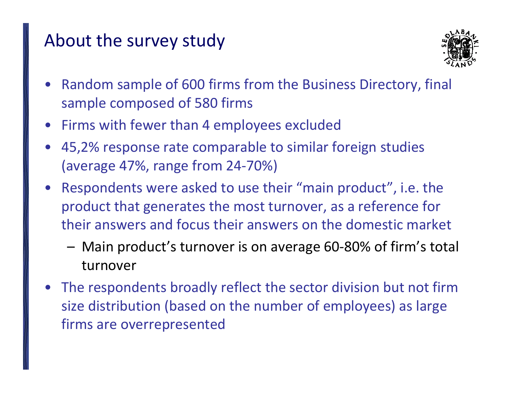# About the survey study



- • Random sample of 600 firms from the Business Directory, final sample composed of 580 firms
- Firms with fewer than 4 employees excluded
- 45,2% response rate comparable to similar foreign studies (average 47%, range from 24‐70%)
- Respondents were asked to use their "main product", i.e. the product that generates the most turnover, as <sup>a</sup> reference for their answers and focus their answers on the domestic market
	- Main product's turnover is on average 60‐80% of firm's total turnover
- The respondents broadly reflect the sector division but not firm size distribution (based on the number of employees) as large firms are overrepresented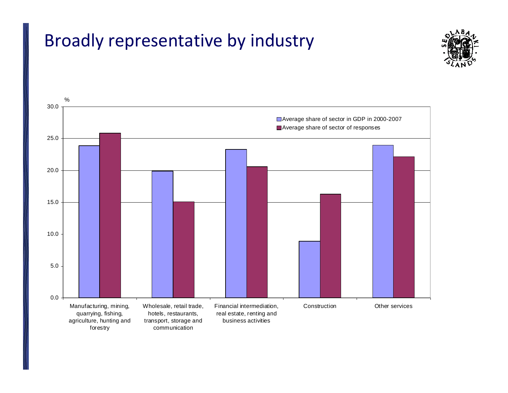# Broadly representative by industry



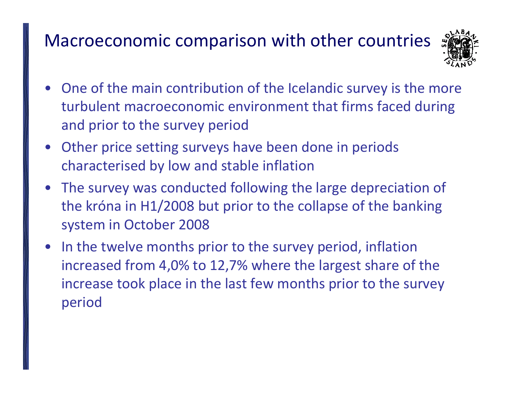# Macroeconomic comparison with other countries



- • One of the main contribution of the Icelandic survey is the more turbulent macroeconomic environment that firms faced during and prior to the survey period
- Other price setting surveys have been done in periods characterised by low and stable inflation
- The survey was conducted following the large depreciation of the króna in H1/2008 but prior to the collapse of the banking system in October 2008
- $\bullet$  In the twelve months prior to the survey period, inflation increased from 4,0% to 12,7% where the largest share of the increase took place in the last few months prior to the survey period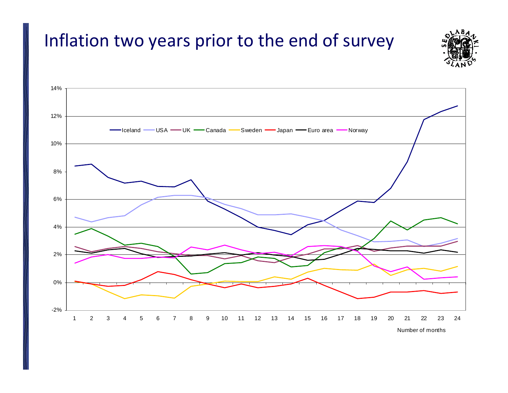# Inflation two years prior to the end of survey



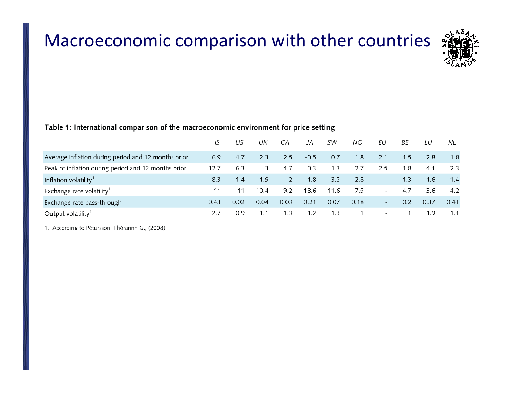# Macroeconomic comparison with other countries



### Table 1: International comparison of the macroeconomic environment for price setting

|                                                     | IS   | US   | UК   | СA   | JA     | SW   | NO.  | ΕU                       | ВE  | LU   | NL.  |
|-----------------------------------------------------|------|------|------|------|--------|------|------|--------------------------|-----|------|------|
| Average inflation during period and 12 months prior | 6.9  | 4.7  | 2.3  | 2.5  | $-0.5$ | 0.7  | 1.8  | 2.1                      | 1.5 | 2.8  | 1.8  |
| Peak of inflation during period and 12 months prior | 12.7 | 6.3  | 3.   | 4.7  | 0.3    | 1.3  | 2.7  | 2.5                      | 1.8 | 4.1  | 2.3  |
| Inflation volatility <sup>1</sup>                   | 8.3  | 1.4  | 1.9  | 2    | 1.8    | 3.2  | 2.8  | $\overline{\phantom{a}}$ | 1.3 | 1.6  | 1.4  |
| Exchange rate volatility <sup>1</sup>               | 11   |      | 10.4 | 9.2  | 18.6   | 11.6 | 7.5  | $\overline{\phantom{a}}$ | 4.7 | 3.6  | 4.2  |
| Exchange rate pass-through <sup>1</sup>             | 0.43 | 0.02 | 0.04 | 0.03 | 0.21   | 0.07 | 0.18 | $\overline{\phantom{0}}$ | 0.2 | 0.37 | 0.41 |
| Output volatility <sup>1</sup>                      | 2.7  | 0.9  | 1.1  | 1.3  | 1.2    | 1.3  |      | $\sim$                   |     | 1.9  | 1.1  |

1. According to Pétursson, Thórarinn G., (2008).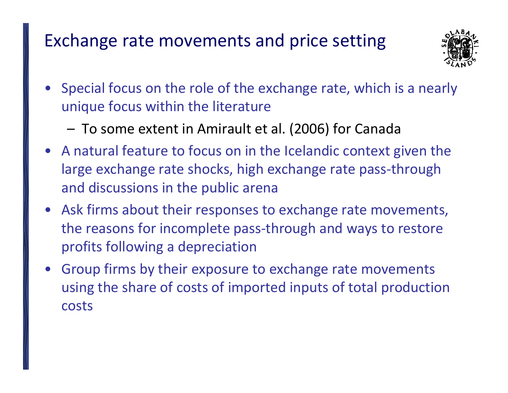# Exchange rate movements and price setting



- • Special focus on the role of the exchange rate, which is <sup>a</sup> nearly unique focus within the literature
	- To some extent in Amirault et al. (2006) for Canada
- A natural feature to focus on in the Icelandic context given the large exchange rate shocks, high exchange rate pass‐through and discussions in the public arena
- Ask firms about their responses to exchange rate movements, the reasons for incomplete pass‐through and ways to restore profits following <sup>a</sup> depreciation
- • Group firms by their exposure to exchange rate movements using the share of costs of imported inputs of total production costs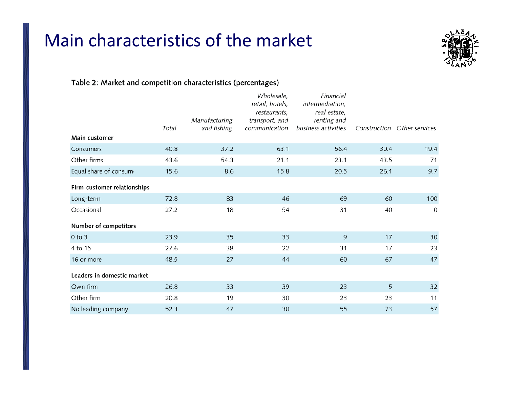# Main characteristics of the market



### Table 2: Market and competition characteristics (percentages)

|                             | Total | Manufacturing<br>and fishing | Wholesale,<br>retail, hotels,<br>restaurants,<br>transport, and<br>communication | Financial<br>intermediation,<br>real estate,<br>renting and<br>business activities |      | Construction Other services |
|-----------------------------|-------|------------------------------|----------------------------------------------------------------------------------|------------------------------------------------------------------------------------|------|-----------------------------|
| Main customer               |       |                              |                                                                                  |                                                                                    |      |                             |
| Consumers                   | 40.8  | 37.2                         | 63.1                                                                             | 56.4                                                                               | 30.4 | 19.4                        |
| Other firms                 | 43.6  | 54.3                         | 21.1                                                                             | 23.1                                                                               | 43.5 | 71                          |
| Equal share of consum       | 15.6  | 8.6                          | 15.8                                                                             | 20.5                                                                               | 26.1 | 9.7                         |
| Firm-customer relationships |       |                              |                                                                                  |                                                                                    |      |                             |
| Long-term                   | 72.8  | 83                           | 46                                                                               | 69                                                                                 | 60   | 100                         |
| Occasional                  | 27.2  | 18                           | 54                                                                               | 31                                                                                 | 40   | $\mathbf 0$                 |
| Number of competitors       |       |                              |                                                                                  |                                                                                    |      |                             |
| $0$ to $3$                  | 23.9  | 35                           | 33                                                                               | 9                                                                                  | 17   | $30\,$                      |
| 4 to 15                     | 27.6  | 38                           | 22                                                                               | 31                                                                                 | 17   | 23                          |
| 16 or more                  | 48.5  | 27                           | 44                                                                               | 60                                                                                 | 67   | 47                          |
| Leaders in domestic market  |       |                              |                                                                                  |                                                                                    |      |                             |
| Own firm                    | 26.8  | 33                           | 39                                                                               | 23                                                                                 | 5    | 32                          |
| Other firm                  | 20.8  | 19                           | 30                                                                               | 23                                                                                 | 23   | 11                          |
| No leading company          | 52.3  | 47                           | 30                                                                               | 55                                                                                 | 73   | 57                          |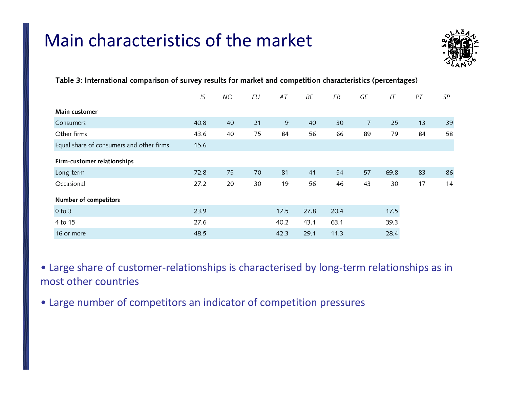# Main characteristics of the market



|                                          | IS   | <b>NO</b> | ΕU | AT   | ΒE   | FR   | GE | IT   | PT | SP |
|------------------------------------------|------|-----------|----|------|------|------|----|------|----|----|
| Main customer                            |      |           |    |      |      |      |    |      |    |    |
| Consumers                                | 40.8 | 40        | 21 | 9    | 40   | 30   | 7  | 25   | 13 | 39 |
| Other firms                              | 43.6 | 40        | 75 | 84   | 56   | 66   | 89 | 79   | 84 | 58 |
| Equal share of consumers and other firms | 15.6 |           |    |      |      |      |    |      |    |    |
| Firm-customer relationships              |      |           |    |      |      |      |    |      |    |    |
| Long-term                                | 72.8 | 75        | 70 | 81   | 41   | 54   | 57 | 69.8 | 83 | 86 |
| Occasional                               | 27.2 | 20        | 30 | 19   | 56   | 46   | 43 | 30   | 17 | 14 |
| Number of competitors                    |      |           |    |      |      |      |    |      |    |    |
| $0$ to $3$                               | 23.9 |           |    | 17.5 | 27.8 | 20.4 |    | 17.5 |    |    |
| 4 to 15                                  | 27.6 |           |    | 40.2 | 43.1 | 63.1 |    | 39.3 |    |    |
| 16 or more                               | 48.5 |           |    | 42.3 | 29.1 | 11.3 |    | 28.4 |    |    |

Table 3: International comparison of survey results for market and competition characteristics (percentages)

• Large share of customer‐relationships is characterised by long‐term relationships as in most other countries

• Large number of competitors an indicator of competition pressures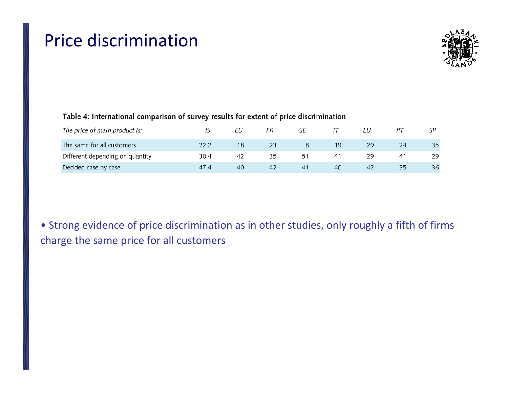# Price discrimination



### Table 4: International comparison of survey results for extent of price discrimination

| The price of main product is:   |      |    | FR | GE |    |    |    |    |
|---------------------------------|------|----|----|----|----|----|----|----|
| The same for all customers      |      | 18 |    |    | 19 | 29 | 24 | 35 |
| Different depending on quantity | 30.4 | 42 |    | 51 | 41 |    | 41 | 29 |
| Decided case by case            | 47.4 | 40 | 42 | 41 | 40 | 42 | 35 | 36 |

• Strong evidence of price discrimination as in other studies, only roughly <sup>a</sup> fifth of firms charge the same price for all customers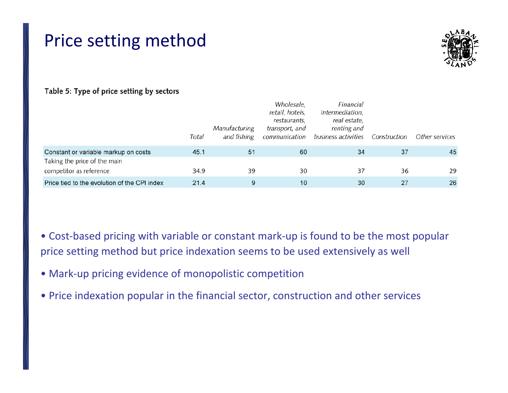# Price setting method



### Table 5: Type of price setting by sectors

|                                              | Total | Manufacturing<br>and fishing | Wholesale,<br>retail, hotels,<br>restaurants,<br>transport, and<br>communication | Financial<br><i>intermediation</i> ,<br>real estate,<br>renting and<br>business activities | Construction | Other services |
|----------------------------------------------|-------|------------------------------|----------------------------------------------------------------------------------|--------------------------------------------------------------------------------------------|--------------|----------------|
| Constant or variable markup on costs         | 45.1  | 51                           | 60                                                                               | 34                                                                                         | 37           | 45             |
| Taking the price of the main                 |       |                              |                                                                                  |                                                                                            |              |                |
| competitor as reference                      | 34.9  | 39                           | 30                                                                               | 37                                                                                         | 36           | 29             |
| Price tied to the evolution of the CPI index | 21.4  | 9                            | 10                                                                               | 30                                                                                         | 27           | 26             |

- Cost‐based pricing with variable or constant mark‐up is found to be the most popular price setting method but price indexation seems to be used extensively as well
- Mark‐up pricing evidence of monopolistic competition
- Price indexation popular in the financial sector, construction and other services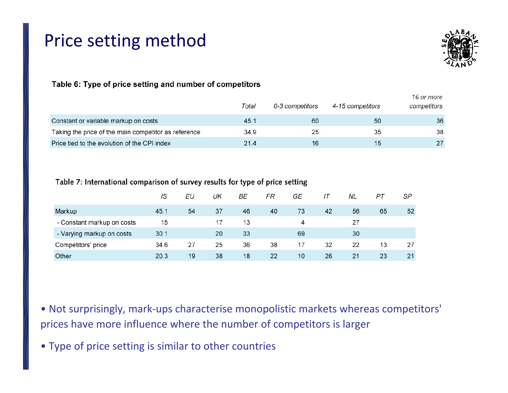# Price setting method



### Table 6: Type of price setting and number of competitors

|                                                      | Total | 0-3 competitors | 4-15 competitors | 16 or more<br>competitors |
|------------------------------------------------------|-------|-----------------|------------------|---------------------------|
| Constant or variable markup on costs                 | 45.1  | 60              | 50               | 36                        |
| Taking the price of the main competitor as reference | 34.9  | 25              | 35               | 38                        |
| Price tied to the evolution of the CPI index         | 21.4  | 16              | 15               | 27                        |

### Table 7: International comparison of survey results for type of price setting

|                            | IS   | ΕU | UK | ВE | FR | GE | IΤ | NL | РT | SP |
|----------------------------|------|----|----|----|----|----|----|----|----|----|
| Markup                     | 45.1 | 54 | 37 | 46 | 40 | 73 | 42 | 56 | 65 | 52 |
| - Constant markup on costs | 15   |    | 17 | 13 |    | 4  |    | 27 |    |    |
| - Varying markup on costs  | 30.1 |    | 20 | 33 |    | 69 |    | 30 |    |    |
| Competitors' price         | 34.6 | 27 | 25 | 36 | 38 | 17 | 32 | 22 | 13 | 27 |
| Other                      | 20.3 | 19 | 38 | 18 | 22 | 10 | 26 | 21 | 23 | 21 |

- Not surprisingly, mark‐ups characterise monopolistic markets whereas competitors' prices have more influence where the number of competitors is larger
- Type of price setting is similar to other countries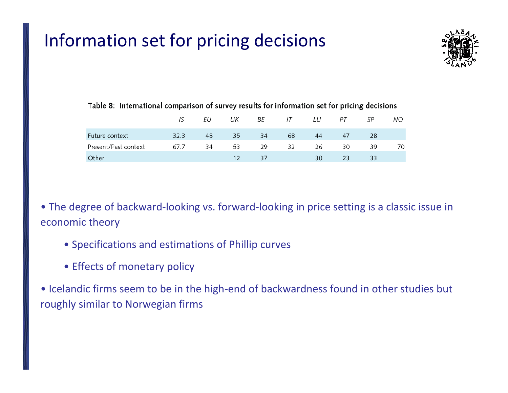# Information set for pricing decisions



|                      | IS   | EU | UK |    | BE IT | LU | PT | SР | NO. |
|----------------------|------|----|----|----|-------|----|----|----|-----|
| Future context       | 32.3 | 48 | 35 | 34 | 68    | 44 | 47 | 28 |     |
| Present/Past context | 67.7 | 34 | 53 | 29 | 32    | 26 | 30 | 39 |     |
| Other                |      |    | 12 | 37 |       | 30 | 23 | 33 |     |

### Table 8: International comparison of survey results for information set for pricing decisions

• The degree of backward‐looking vs. forward‐looking in price setting is <sup>a</sup> classic issue in economic theory

- Specifications and estimations of Phillip curves
- Effects of monetary policy

• Icelandic firms seem to be in the high‐end of backwardness found in other studies but roughly similar to Norwegian firms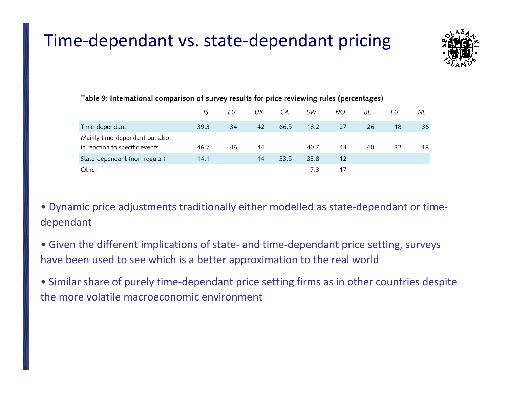# Time‐dependant vs. state‐dependant pricing



|                                | IS   | ΕU | UК | CA   | SW   | ΝO | ВE | LU | NL |  |  |
|--------------------------------|------|----|----|------|------|----|----|----|----|--|--|
| Time-dependant                 | 39.3 | 34 | 42 | 66.5 | 18.2 | 27 | 26 | 18 | 36 |  |  |
| Mainly time-dependant but also |      |    |    |      |      |    |    |    |    |  |  |
| in reaction to specific events | 46.7 | 46 | 44 |      | 40.7 | 44 | 40 | 32 | 18 |  |  |
| State-dependant (non-regular)  | 14.1 |    | 14 | 33.5 | 33.8 | 12 |    |    |    |  |  |
| Other                          |      |    |    |      | 7.3  | 17 |    |    |    |  |  |

### Table 9: International comparison of survey results for price reviewing rules (percentages)

• Dynamic price adjustments traditionally either modelled as state‐dependant or time‐ dependant

• Given the different implications of state‐ and time‐dependant price setting, surveys have been used to see which is <sup>a</sup> better approximation to the real world

• Similar share of purely time‐dependant price setting firms as in other countries despite the more volatile macroeconomic environment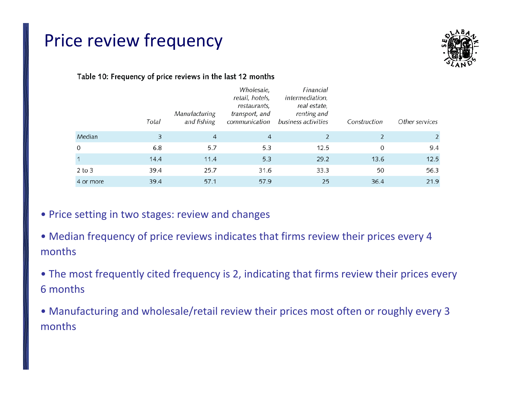### Price review frequency



### Table 10: Frequency of price reviews in the last 12 months

|              | Total | Manufacturing<br>and fishing | Wholesale,<br>retail, hotels,<br>restaurants,<br>transport, and<br>communication | Financial<br>intermediation,<br>real estate,<br>renting and<br>business activities | Construction | Other services |
|--------------|-------|------------------------------|----------------------------------------------------------------------------------|------------------------------------------------------------------------------------|--------------|----------------|
| Median       | 3     | $\overline{4}$               | 4                                                                                |                                                                                    |              |                |
| $\mathbf 0$  | 6.8   | 5.7                          | 5.3                                                                              | 12.5                                                                               | 0            | 9.4            |
| $\mathbf{1}$ | 14.4  | 11.4                         | 5.3                                                                              | 29.2                                                                               | 13.6         | 12.5           |
| $2$ to $3$   | 39.4  | 25.7                         | 31.6                                                                             | 33.3                                                                               | 50           | 56.3           |
| 4 or more    | 39.4  | 57.1                         | 57.9                                                                             | 25                                                                                 | 36.4         | 21.9           |

### • Price setting in two stages: review and changes

- Median frequency of price reviews indicates that firms review their prices every 4 months
- The most frequently cited frequency is 2, indicating that firms review their prices every 6 months
- Manufacturing and wholesale/retail review their prices most often or roughly every 3 months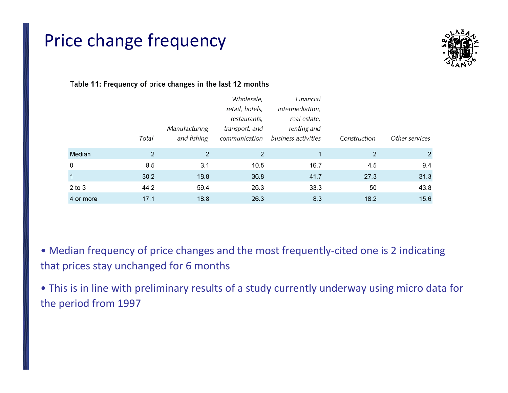# Price change frequency



### Table 11: Frequency of price changes in the last 12 months

|              |       |                | Wholesale,      | Financial           |              |                |
|--------------|-------|----------------|-----------------|---------------------|--------------|----------------|
|              |       |                | retail, hotels, | intermediation,     |              |                |
|              |       |                | restaurants,    | real estate,        |              |                |
|              |       | Manufacturing  | transport, and  | renting and         |              |                |
|              | Total | and fishing    | communication   | business activities | Construction | Other services |
| Median       | 2     | $\overline{2}$ | 2               |                     | 2            | $\overline{2}$ |
| 0            | 8.5   | 3.1            | 10.5            | 16.7                | 4.5          | 9.4            |
| $\mathbf{1}$ | 30.2  | 18.8           | 36.8            | 41.7                | 27.3         | 31.3           |
| $2$ to $3$   | 44.2  | 59.4           | 26.3            | 33.3                | 50           | 43.8           |
| 4 or more    | 17.1  | 18.8           | 26.3            | 8.3                 | 18.2         | 15.6           |

• Median frequency of price changes and the most frequently‐cited one is 2 indicating that prices stay unchanged for 6 months

• This is in line with preliminary results of <sup>a</sup> study currently underway using micro data for the period from 1997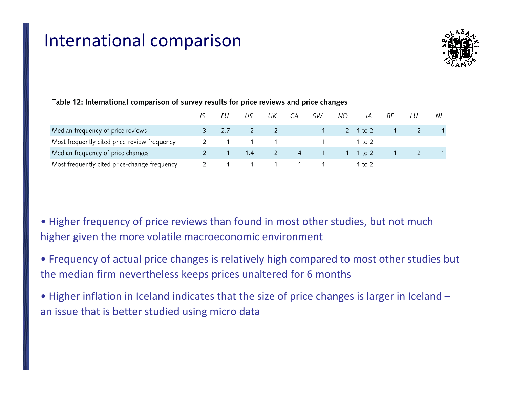### International comparison



|                                              |  | US    | UK | CA | SW       | NΟ | JA       | ВF | LU | NL. |
|----------------------------------------------|--|-------|----|----|----------|----|----------|----|----|-----|
| Median frequency of price reviews            |  | 2     |    |    |          |    | 2 1 to 2 |    |    |     |
| Most frequently cited price-review frequency |  | 1 1 1 |    |    |          |    | 1 to 2   |    |    |     |
| Median frequency of price changes            |  | 1.4   |    |    | $\sim$ 4 |    | 1 1 to 2 |    |    |     |
| Most frequently cited price-change frequency |  |       |    |    |          |    | 1 to 2   |    |    |     |

### Table 12: International comparison of survey results for price reviews and price changes

- Higher frequency of price reviews than found in most other studies, but not much higher given the more volatile macroeconomic environment
- Frequency of actual price changes is relatively high compared to most other studies but the median firm nevertheless keeps prices unaltered for 6 months
- Higher inflation in Iceland indicates that the size of price changes is larger in Iceland an issue that is better studied using micro data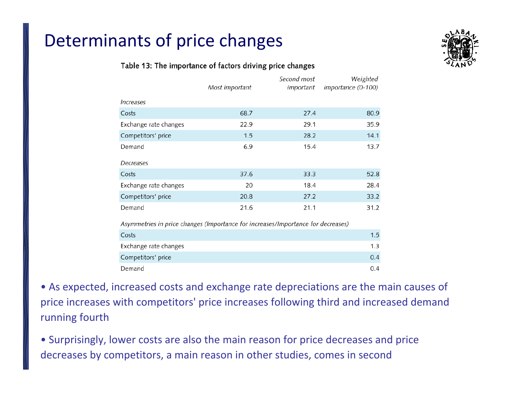### Table 13: The importance of factors driving price changes

|                                                                                  | Most important | Second most<br>important | Weighted<br>importance (0-100) |
|----------------------------------------------------------------------------------|----------------|--------------------------|--------------------------------|
| <i><u><b>Increases</b></u></i>                                                   |                |                          |                                |
| Costs                                                                            | 68.7           | 27.4                     | 80.9                           |
| Exchange rate changes                                                            | 22.9           | 29.1                     | 35.9                           |
| Competitors' price                                                               | 1.5            | 28.2                     | 14.1                           |
| Demand                                                                           | 6.9            | 15.4                     | 13.7                           |
| Decreases                                                                        |                |                          |                                |
| Costs                                                                            | 37.6           | 33.3                     | 52.8                           |
| Exchange rate changes                                                            | 20             | 18.4                     | 28.4                           |
| Competitors' price                                                               | 20.8           | 27.2                     | 33.2                           |
| Demand                                                                           | 21.6           | 21.1                     | 31.2                           |
| Asymmetries in price changes (Importance for increases/Importance for decreases) |                |                          |                                |
| Costs                                                                            |                |                          | 1.5                            |
| Exchange rate changes                                                            |                |                          | 1.3                            |
| Competitors' price                                                               |                |                          | 0.4                            |
| Demand                                                                           |                |                          | 0.4                            |

• As expected, increased costs and exchange rate depreciations are the main causes of price increases with competitors' price increases following third and increased demand running fourth

• Surprisingly, lower costs are also the main reason for price decreases and price decreases by competitors, <sup>a</sup> main reason in other studies, comes in second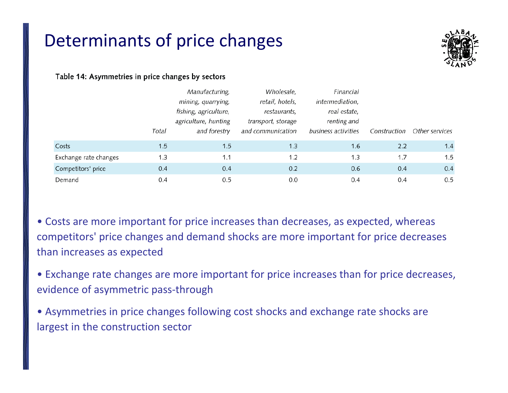

### Table 14: Asymmetries in price changes by sectors

|                       |       | Manufacturing,        | Wholesale,         | Financial           |              |                |
|-----------------------|-------|-----------------------|--------------------|---------------------|--------------|----------------|
|                       |       | mining, quarrying,    | retail, hotels,    | intermediation,     |              |                |
|                       |       | fishing, agriculture, | restaurants,       | real estate,        |              |                |
|                       |       | agriculture, hunting  | transport, storage | renting and         |              |                |
|                       | Total | and forestry          | and communication  | business activities | Construction | Other services |
| Costs                 | 1.5   | 1.5                   | 1.3                | 1.6                 | 2.2          | 1.4            |
| Exchange rate changes | 1.3   | 1.1                   | 1.2                | 1.3                 | 1.7          | 1.5            |
| Competitors' price    | 0.4   | 0.4                   | 0.2                | 0.6                 | 0.4          | 0.4            |
| Demand                | 0.4   | 0.5                   | 0.0                | 0.4                 | 0.4          | 0.5            |

• Costs are more important for price increases than decreases, as expected, whereas competitors' price changes and demand shocks are more important for price decreases than increases as expected

• Exchange rate changes are more important for price increases than for price decreases, evidence of asymmetric pass‐through

• Asymmetries in price changes following cost shocks and exchange rate shocks are largest in the construction sector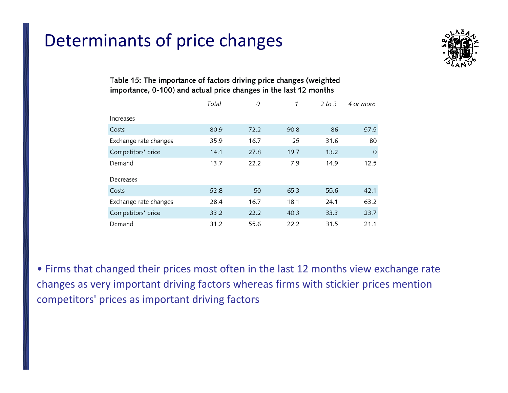

### Table 15: The importance of factors driving price changes (weighted importance, 0-100) and actual price changes in the last 12 months

|                       | Total | 0    | 1    | 2 to 3 | 4 or more   |
|-----------------------|-------|------|------|--------|-------------|
| Increases             |       |      |      |        |             |
| Costs                 | 80.9  | 72.2 | 90.8 | 86     | 57.5        |
| Exchange rate changes | 35.9  | 16.7 | 25   | 31.6   | 80          |
| Competitors' price    | 14.1  | 27.8 | 19.7 | 13.2   | $\mathbf 0$ |
| Demand                | 13.7  | 22.2 | 7.9  | 14.9   | 12.5        |
| Decreases             |       |      |      |        |             |
| Costs                 | 52.8  | 50   | 65.3 | 55.6   | 42.1        |
| Exchange rate changes | 28.4  | 16.7 | 18.1 | 24.1   | 63.2        |
| Competitors' price    | 33.2  | 22.2 | 40.3 | 33.3   | 23.7        |
| Demand                | 31.2  | 55.6 | 22.2 | 31.5   | 21.1        |

• Firms that changed their prices most often in the last 12 months view exchange rate changes as very important driving factors whereas firms with stickier prices mention competitors' prices as important driving factors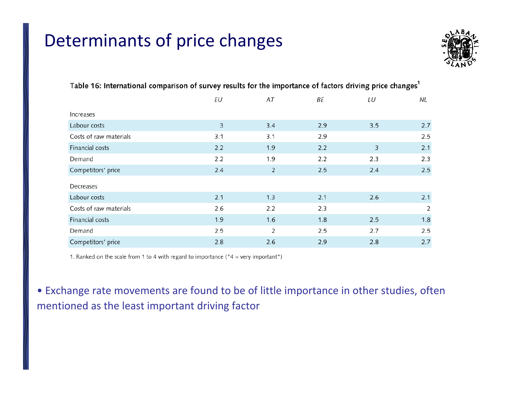

|                        | ΕU  | AT             | ΒE  | LU  | NL             |
|------------------------|-----|----------------|-----|-----|----------------|
| Increases              |     |                |     |     |                |
| Labour costs           | 3   | 3.4            | 2.9 | 3.5 | 2.7            |
| Costs of raw materials | 3.1 | 3.1            | 2.9 |     | 2.5            |
| Financial costs        | 2.2 | 1.9            | 2.2 | 3   | 2.1            |
| Demand                 | 2.2 | 1.9            | 2.2 | 2.3 | 2.3            |
| Competitors' price     | 2.4 | $\overline{2}$ | 2.5 | 2.4 | 2.5            |
| Decreases              |     |                |     |     |                |
| Labour costs           | 2.1 | 1.3            | 2.1 | 2.6 | 2.1            |
| Costs of raw materials | 2.6 | 2.2            | 2.3 |     | $\overline{2}$ |
| Financial costs        | 1.9 | 1.6            | 1.8 | 2.5 | 1.8            |
| Demand                 | 2.5 | 2              | 2.5 | 2.7 | 2.5            |
| Competitors' price     | 2.8 | 2.6            | 2.9 | 2.8 | 2.7            |

### Table 16: International comparison of survey results for the importance of factors driving price changes<sup>1</sup>

1. Ranked on the scale from 1 to 4 with regard to importance ( $4 = \text{very important}$ ")

• Exchange rate movements are found to be of little importance in other studies, often mentioned as the least important driving factor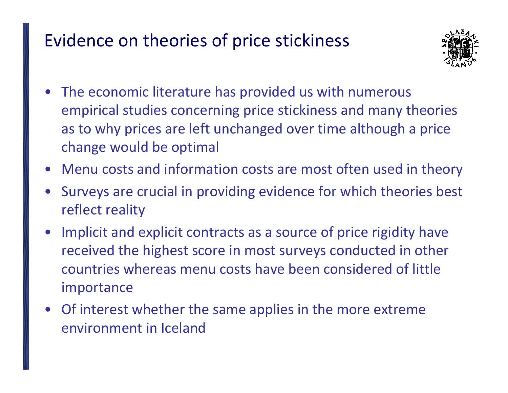# Evidence on theories of price stickiness



- The economic literature has provided us with numerous empirical studies concerning price stickiness and many theories as to why prices are left unchanged over time although <sup>a</sup> price change would be optimal
- Menu costs and information costs are most often used in theory
- Surveys are crucial in providing evidence for which theories best reflect reality
- $\bullet$  Implicit and explicit contracts as <sup>a</sup> source of price rigidity have received the highest score in most surveys conducted in other countries whereas menu costs have been considered of little importance
- $\bullet$  Of interest whether the same applies in the more extreme environment in Iceland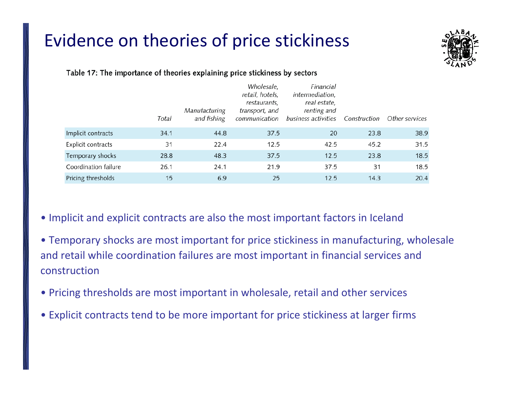# Evidence on theories of price stickiness



### Table 17: The importance of theories explaining price stickiness by sectors

|                      | Total | Manufacturing<br>and fishing | Wholesale,<br>retail, hotels,<br>restaurants,<br>transport, and<br>communication | Financial<br>intermediation,<br>real estate,<br>renting and<br>business activities | Construction | Other services |
|----------------------|-------|------------------------------|----------------------------------------------------------------------------------|------------------------------------------------------------------------------------|--------------|----------------|
| Implicit contracts   | 34.1  | 44.8                         | 37.5                                                                             | 20                                                                                 | 23.8         | 38.9           |
| Explicit contracts   | 31    | 22.4                         | 12.5                                                                             | 42.5                                                                               | 45.2         | 31.5           |
| Temporary shocks     | 28.8  | 48.3                         | 37.5                                                                             | 12.5                                                                               | 23.8         | 18.5           |
| Coordination failure | 26.1  | 24.1                         | 21.9                                                                             | 37.5                                                                               | 31           | 18.5           |
| Pricing thresholds   | 15    | 6.9                          | 25                                                                               | 12.5                                                                               | 14.3         | 20.4           |

### • Implicit and explicit contracts are also the most important factors in Iceland

- Temporary shocks are most important for price stickiness in manufacturing, wholesale and retail while coordination failures are most important in financial services and construction
- Pricing thresholds are most important in wholesale, retail and other services
- Explicit contracts tend to be more important for price stickiness at larger firms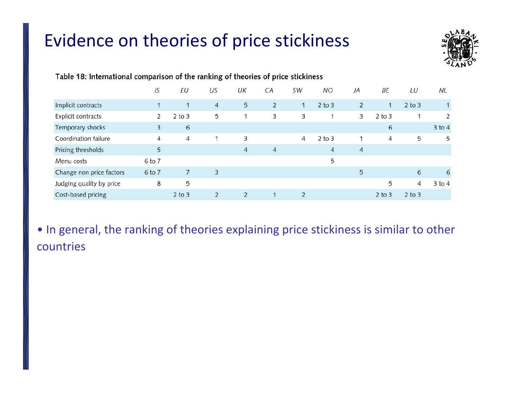# Evidence on theories of price stickiness



|                          | IS              | EU           | US             | UK             | СA             | SW             | <b>NO</b>  | JA | ΒE           | LU         | NL           |
|--------------------------|-----------------|--------------|----------------|----------------|----------------|----------------|------------|----|--------------|------------|--------------|
| Implicit contracts       | $\mathbf{1}$    | $\mathbf{1}$ | 4              | 5              | $\overline{2}$ | $\mathbf{1}$   | $2$ to $3$ | 2  | $\mathbf{1}$ | $2$ to $3$ | $\mathbf{1}$ |
| Explicit contracts       | 2               | $2$ to $3$   | 5              |                | 3              | 3              |            | 3  | $2$ to $3$   |            | 2            |
| Temporary shocks         | 3               | 6            |                |                |                |                |            |    | 6            |            | $3$ to $4$   |
| Coordination failure     | 4               | 4            |                | 3              |                | 4              | $2$ to $3$ | 1  | 4            | 5          | 5            |
| Pricing thresholds       | $5\overline{)}$ |              |                | 4              | 4              |                | 4          | 4  |              |            |              |
| Menu costs               | 6 to 7          |              |                |                |                |                | 5          |    |              |            |              |
| Change non price factors | 6 to 7          | 7            | 3              |                |                |                |            | 5  |              | 6          | 6            |
| Judging quality by price | 8               | 5            |                |                |                |                |            |    | 5            | 4          | $3$ to 4     |
| Cost-based pricing       |                 | $2$ to $3$   | $\overline{2}$ | $\overline{2}$ |                | $\overline{2}$ |            |    | $2$ to $3$   | $2$ to $3$ |              |

### Table 18: International comparison of the ranking of theories of price stickiness

• In general, the ranking of theories explaining price stickiness is similar to other countries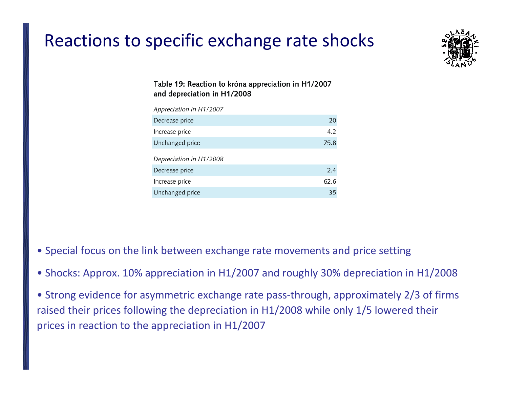# Reactions to specific exchange rate shocks



### Table 19: Reaction to króna appreciation in H1/2007 and depreciation in H1/2008

| Appreciation in H1/2007 |      |
|-------------------------|------|
| Decrease price          | 20   |
| Increase price          | 4.2  |
| Unchanged price         | 75.8 |
| Depreciation in H1/2008 |      |
| Decrease price          | 2.4  |
| Increase price          | 62.6 |
| Unchanged price         | 35   |

- Special focus on the link between exchange rate movements and price setting
- Shocks: Approx. 10% appreciation in H1/2007 and roughly 30% depreciation in H1/2008
- Strong evidence for asymmetric exchange rate pass‐through, approximately 2/3 of firms raised their prices following the depreciation in H1/2008 while only 1/5 lowered their prices in reaction to the appreciation in H1/2007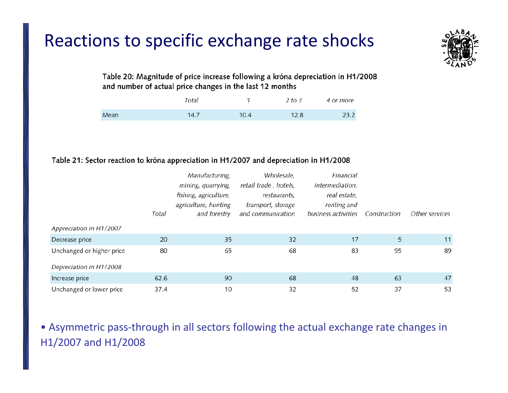# Reactions to specific exchange rate shocks



Table 20: Magnitude of price increase following a króna depreciation in H1/2008 and number of actual price changes in the last 12 months

|      | Total |      | 2 to 3 | 4 or more |
|------|-------|------|--------|-----------|
| Mean | 14.7  | 10.4 | 12.8   | 23.2      |

### Table 21: Sector reaction to króna appreciation in H1/2007 and depreciation in H1/2008

|                           |       | Manufacturing,        | Wholesale,            | Financial           |              |                |
|---------------------------|-------|-----------------------|-----------------------|---------------------|--------------|----------------|
|                           |       | mining, quarrying,    | retail trade, hotels, | intermediation,     |              |                |
|                           |       | fishing, agriculture, | restaurants,          | real estate,        |              |                |
|                           |       | agriculture, hunting  | transport, storage    | renting and         |              |                |
|                           | Total | and forestry          | and communication     | business activities | Construction | Other services |
| Appreciation in H1/2007   |       |                       |                       |                     |              |                |
| Decrease price            | 20    | 35                    | 32                    | 17                  | 5            | 11             |
| Unchanged or higher price | 80    | 65                    | 68                    | 83                  | 95           | 89             |
| Depreciation in H1/2008   |       |                       |                       |                     |              |                |
| Increase price            | 62.6  | 90                    | 68                    | 48                  | 63           | 47             |
| Unchanged or lower price  | 37.4  | 10                    | 32                    | 52                  | 37           | 53             |

• Asymmetric pass‐through in all sectors following the actual exchange rate changes in H1/2007 and H1/2008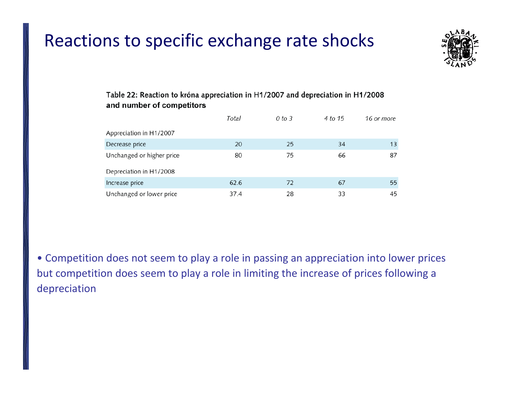# Reactions to specific exchange rate shocks



### Table 22: Reaction to króna appreciation in H1/2007 and depreciation in H1/2008 and number of competitors

|                           | Total | 0 to 3 | 4 to 15 | 16 or more |
|---------------------------|-------|--------|---------|------------|
| Appreciation in H1/2007   |       |        |         |            |
| Decrease price            | 20    | 25     | 34      | 13         |
| Unchanged or higher price | 80    | 75     | 66      | 87         |
| Depreciation in H1/2008   |       |        |         |            |
| Increase price            | 62.6  | 72     | 67      | 55         |
| Unchanged or lower price  | 37.4  | 28     | 33      | 45         |

• Competition does not seem to play <sup>a</sup> role in passing an appreciation into lower prices but competition does seem to play <sup>a</sup> role in limiting the increase of prices following <sup>a</sup> depreciation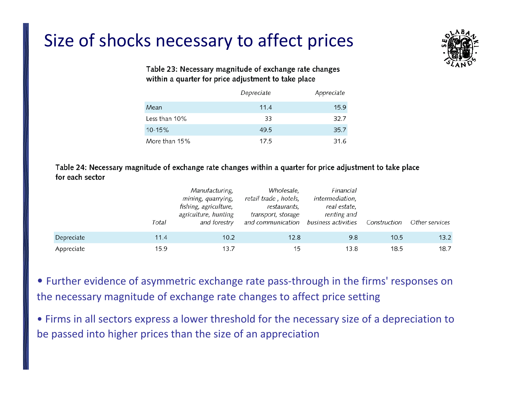# Size of shocks necessary to affect prices



### Table 23: Necessary magnitude of exchange rate changes within a quarter for price adjustment to take place

|               | Depreciate | Appreciate |
|---------------|------------|------------|
| Mean          | 11.4       | 15.9       |
| Less than 10% | 33         | 32.7       |
| $10 - 15%$    | 49.5       | 35.7       |
| More than 15% | 17.5       | 31.6       |

Table 24: Necessary magnitude of exchange rate changes within a quarter for price adjustment to take place for each sector

|            | Total | Manufacturing,<br>mining, quarrying,<br>fishing, agriculture,<br>agriculture, hunting<br>and forestry | Wholesale,<br>retail trade, hotels,<br>restaurants,<br>transport, storage<br>and communication | Financial<br><i>intermediation</i> ,<br>real estate,<br>renting and<br>business activities | Construction | Other services |
|------------|-------|-------------------------------------------------------------------------------------------------------|------------------------------------------------------------------------------------------------|--------------------------------------------------------------------------------------------|--------------|----------------|
| Depreciate | 11.4  | 10.2                                                                                                  | 12.8                                                                                           | 9.8                                                                                        | 10.5         | 13.2           |
| Appreciate | 15.9  | 13.7                                                                                                  | 15                                                                                             | 13.8                                                                                       | 18.5         | 18.7           |

• Further evidence of asymmetric exchange rate pass‐through in the firms' responses on the necessary magnitude of exchange rate changes to affect price setting

• Firms in all sectors express <sup>a</sup> lower threshold for the necessary size of <sup>a</sup> depreciation to be passed into higher prices than the size of an appreciation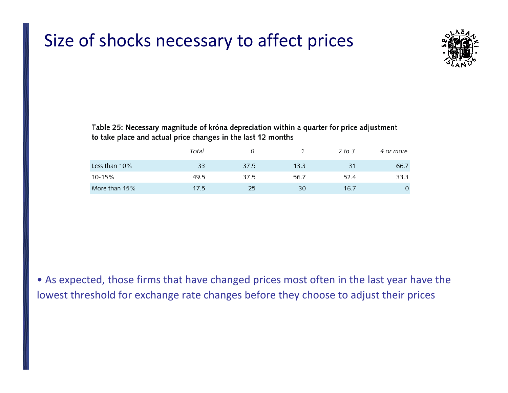### Size of shocks necessary to affect prices



Table 25: Necessary magnitude of króna depreciation within a quarter for price adjustment to take place and actual price changes in the last 12 months

|               | Total |      |      | 2 to 3 | 4 or more |
|---------------|-------|------|------|--------|-----------|
| Less than 10% | 33    | 37.5 | 13.3 | 31     | 66.7      |
| 10-15%        | 49.5  | 37.5 | 56.7 | 52.4   | 33.3      |
| More than 15% | 17.5  | 25   | 30   | 16.7   | 0         |

• As expected, those firms that have changed prices most often in the last year have the lowest threshold for exchange rate changes before they choose to adjust their prices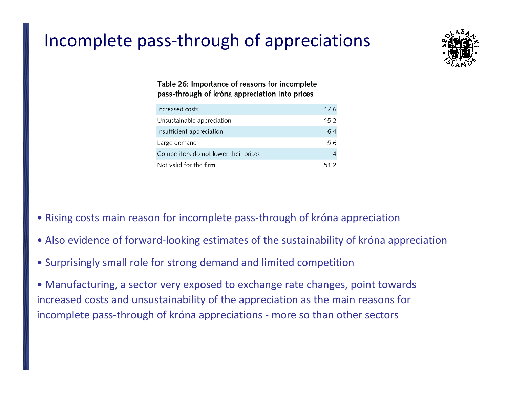# Incomplete pass‐through of appreciations



### Table 26: Importance of reasons for incomplete pass-through of króna appreciation into prices

| Increased costs                       | 17.6 |
|---------------------------------------|------|
| Unsustainable appreciation            | 15.2 |
| Insufficient appreciation             | 6.4  |
| Large demand                          | 5.6  |
| Competitors do not lower their prices |      |
| Not valid for the firm                | 51.2 |

- Rising costs main reason for incomplete pass‐through of króna appreciation
- Also evidence of forward‐looking estimates of the sustainability of króna appreciation
- Surprisingly small role for strong demand and limited competition

• Manufacturing, <sup>a</sup> sector very exposed to exchange rate changes, point towards increased costs and unsustainability of the appreciation as the main reasons for incomplete pass-through of króna appreciations - more so than other sectors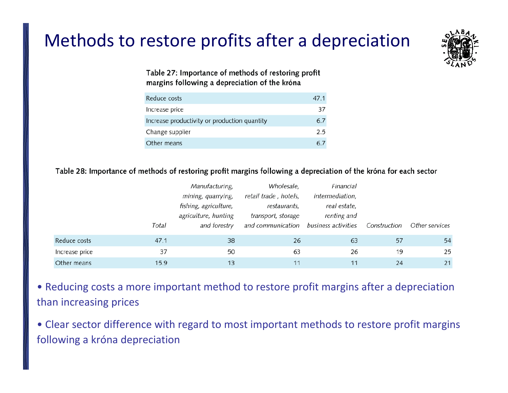# Methods to restore profits after <sup>a</sup> depreciation



Table 27: Importance of methods of restoring profit margins following a depreciation of the króna

| Reduce costs                                 | 47.1 |
|----------------------------------------------|------|
| Increase price                               | 37   |
| Increase productivity or production quantity | 6.1  |
| Change supplier                              | 2.5  |
| Other means                                  |      |

### Table 28: Importance of methods of restoring profit margins following a depreciation of the króna for each sector

|                |       | Manufacturing,        | Wholesale,            | Financial           |              |                |
|----------------|-------|-----------------------|-----------------------|---------------------|--------------|----------------|
|                |       | mining, quarrying,    | retail trade, hotels, | intermediation,     |              |                |
|                |       | fishing, agriculture, | restaurants,          | real estate,        |              |                |
|                |       | agriculture, hunting  | transport, storage    | renting and         |              |                |
|                | Total | and forestry          | and communication     | business activities | Construction | Other services |
| Reduce costs   | 47.1  | 38                    | 26                    | 63                  | 57           | 54             |
| Increase price | 37    | 50                    | 63                    | 26                  | 19           | 25             |
| Other means    | 15.9  | 13                    | 11                    | 11                  | 24           | 21             |

• Reducing costs <sup>a</sup> more important method to restore profit margins after <sup>a</sup> depreciation than increasing prices

• Clear sector difference with regard to most important methods to restore profit margins following <sup>a</sup> króna depreciation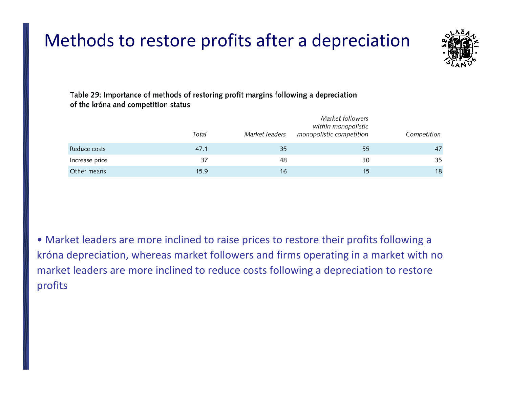# Methods to restore profits after <sup>a</sup> depreciation



Table 29: Importance of methods of restoring profit margins following a depreciation of the króna and competition status

|                | Total | Market leaders | Market followers<br>within monopolistic<br>monopolistic competition | Competition |
|----------------|-------|----------------|---------------------------------------------------------------------|-------------|
| Reduce costs   | 47.1  | 35             | 55                                                                  | 47          |
| Increase price | 37    | 48             | 30                                                                  | 35          |
| Other means    | 15.9  | 16             | 15                                                                  | 18          |

• Market leaders are more inclined to raise prices to restore their profits following <sup>a</sup> króna depreciation, whereas market followers and firms operating in <sup>a</sup> market with no market leaders are more inclined to reduce costs following <sup>a</sup> depreciation to restore profits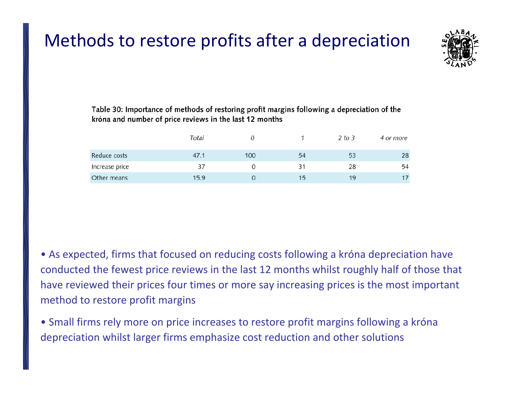# Methods to restore profits after <sup>a</sup> depreciation



Table 30: Importance of methods of restoring profit margins following a depreciation of the króna and number of price reviews in the last 12 months

|                | Total |     |    | 2 to 3 | 4 or more |
|----------------|-------|-----|----|--------|-----------|
| Reduce costs   | 47.1  | 100 | 54 | 53     | 28        |
| Increase price | 37    |     | 31 | 28     | 54        |
| Other means    | 15.9  |     | 15 | 19     | 17        |

- As expected, firms that focused on reducing costs following <sup>a</sup> króna depreciation have conducted the fewest price reviews in the last 12 months whilst roughly half of those that have reviewed their prices four times or more say increasing prices is the most important method to restore profit margins
- Small firms rely more on price increases to restore profit margins following <sup>a</sup> króna depreciation whilst larger firms emphasize cost reduction and other solutions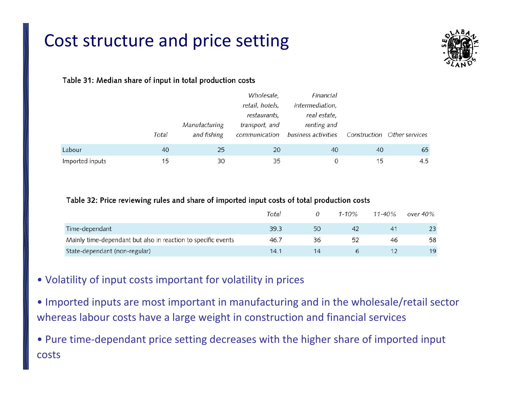# Cost structure and price setting



### Table 31: Median share of input in total production costs

|                 |       |               | Wholesale,      | Financial                         |    |                             |
|-----------------|-------|---------------|-----------------|-----------------------------------|----|-----------------------------|
|                 |       |               | retail, hotels, | <i>intermediation</i> ,           |    |                             |
|                 |       |               | restaurants,    | real estate,                      |    |                             |
|                 |       | Manufacturing | transport, and  | renting and                       |    |                             |
|                 | Total | and fishing   |                 | communication business activities |    | Construction Other services |
| Labour          | 40    | 25            | 20              | 40                                | 40 | 65                          |
| Imported inputs | 15    | 30            | 35              | 0                                 | 15 | 4.5                         |

### Table 32: Price reviewing rules and share of imported input costs of total production costs

|                                                               | Total |    | $1 - 10\%$ | $11 - 40\%$ | over 40% |
|---------------------------------------------------------------|-------|----|------------|-------------|----------|
| Time-dependant                                                | 39.3  | 50 |            |             | 23       |
| Mainly time-dependant but also in reaction to specific events | 46.7  | 36 | 52         | 46          | 58       |
| State-dependant (non-regular)                                 | 14.1  |    |            |             | 19       |

- Volatility of input costs important for volatility in prices
- Imported inputs are most important in manufacturing and in the wholesale/retail sector whereas labour costs have <sup>a</sup> large weight in construction and financial services
- Pure time‐dependant price setting decreases with the higher share of imported input costs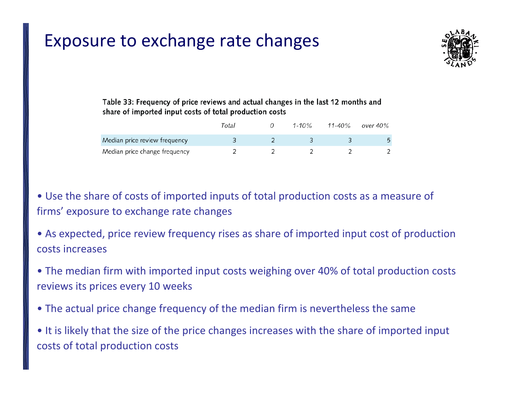

### Table 33: Frequency of price reviews and actual changes in the last 12 months and share of imported input costs of total production costs

|                               | Total | $1 - 10\%$ | 11-40% | over 40% |
|-------------------------------|-------|------------|--------|----------|
| Median price review frequency |       |            |        |          |
| Median price change frequency |       |            |        |          |

• Use the share of costs of imported inputs of total production costs as <sup>a</sup> measure of firms' exposure to exchange rate changes

• As expected, price review frequency rises as share of imported input cost of production costs increases

• The median firm with imported input costs weighing over 40% of total production costs reviews its prices every 10 weeks

• The actual price change frequency of the median firm is nevertheless the same

• It is likely that the size of the price changes increases with the share of imported input costs of total production costs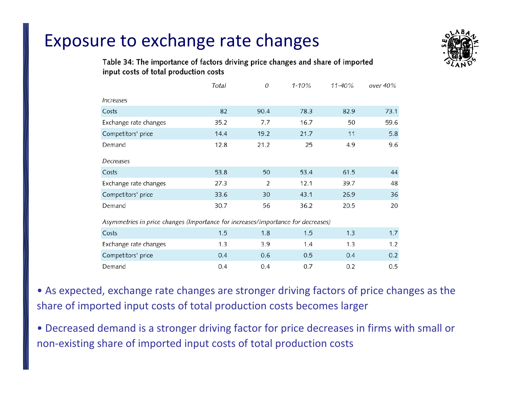

### Table 34: The importance of factors driving price changes and share of imported input costs of total production costs

|                                                                                  | Total | $\overline{O}$ | $1 - 10%$ | 11-40% | over 40% |  |  |  |
|----------------------------------------------------------------------------------|-------|----------------|-----------|--------|----------|--|--|--|
| <i><u><b>Increases</b></u></i>                                                   |       |                |           |        |          |  |  |  |
| Costs                                                                            | 82    | 90.4           | 78.3      | 82.9   | 73.1     |  |  |  |
| Exchange rate changes                                                            | 35.2  | 7.7            | 16.7      | 50     | 59.6     |  |  |  |
| Competitors' price                                                               | 14.4  | 19.2           | 21.7      | 11     | 5.8      |  |  |  |
| Demand                                                                           | 12.8  | 21.2           | 25        | 4.9    | 9.6      |  |  |  |
| Decreases                                                                        |       |                |           |        |          |  |  |  |
| Costs                                                                            | 53.8  | 50             | 53.4      | 61.5   | 44       |  |  |  |
| Exchange rate changes                                                            | 27.3  | 2              | 12.1      | 39.7   | 48       |  |  |  |
| Competitors' price                                                               | 33.6  | 30             | 43.1      | 26.9   | 36       |  |  |  |
| Demand                                                                           | 30.7  | 56             | 36.2      | 20.5   | 20       |  |  |  |
| Asymmetries in price changes (Importance for increases/Importance for decreases) |       |                |           |        |          |  |  |  |
| Costs                                                                            | 1.5   | 1.8            | 1.5       | 1.3    | 1.7      |  |  |  |
| Exchange rate changes                                                            | 1.3   | 3.9            | 1.4       | 1.3    | 1.2      |  |  |  |
| Competitors' price                                                               | 0.4   | 0.6            | 0.5       | 0.4    | 0.2      |  |  |  |
| Demand                                                                           | 0.4   | 0.4            | 0.7       | 0.2    | 0.5      |  |  |  |

• As expected, exchange rate changes are stronger driving factors of price changes as the share of imported input costs of total production costs becomes larger

• Decreased demand is <sup>a</sup> stronger driving factor for price decreases in firms with small or non‐existing share of imported input costs of total production costs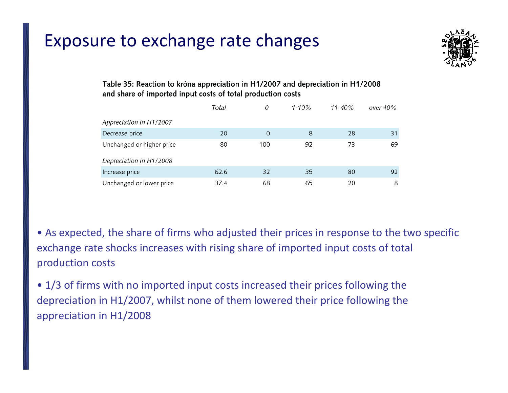

### Table 35: Reaction to króna appreciation in H1/2007 and depreciation in H1/2008 and share of imported input costs of total production costs

|                           | Total | 0   | $1 - 10\%$ | $11 - 40\%$ | over 40% |
|---------------------------|-------|-----|------------|-------------|----------|
| Appreciation in H1/2007   |       |     |            |             |          |
| Decrease price            | 20    | 0   | 8          | 28          | 31       |
| Unchanged or higher price | 80    | 100 | 92         | 73          | 69       |
| Depreciation in H1/2008   |       |     |            |             |          |
| Increase price            | 62.6  | 32  | 35         | 80          | 92       |
| Unchanged or lower price  | 37.4  | 68  | 65         | 20          | 8        |

• As expected, the share of firms who adjusted their prices in response to the two specific exchange rate shocks increases with rising share of imported input costs of total production costs

• 1/3 of firms with no imported input costs increased their prices following the depreciation in H1/2007, whilst none of them lowered their price following the appreciation in H1/2008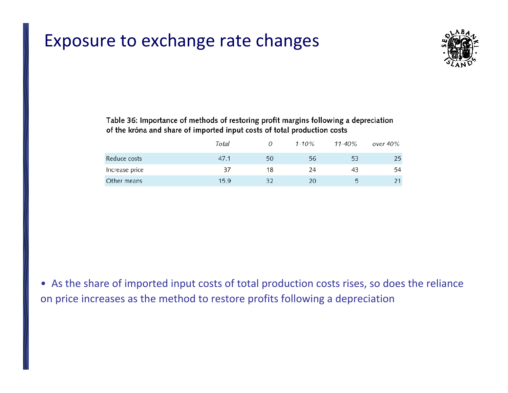

### Table 36: Importance of methods of restoring profit margins following a depreciation of the króna and share of imported input costs of total production costs

|                | Total |    | $1 - 10%$ | $11 - 40\%$ | over 40% |
|----------------|-------|----|-----------|-------------|----------|
| Reduce costs   | 47.1  | 50 | 56        | 53          |          |
| Increase price | 37    | 18 | 24        | 43          | 54       |
| Other means    | 15.9  |    | 20        | $\sqrt{ }$  |          |

• As the share of imported input costs of total production costs rises, so does the reliance on price increases as the method to restore profits following <sup>a</sup> depreciation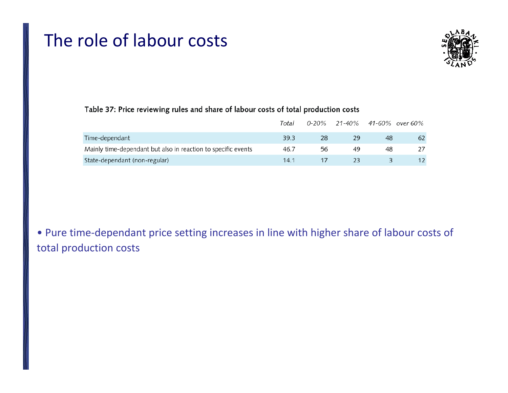### The role of labour costs



### Table 37: Price reviewing rules and share of labour costs of total production costs

|                                                               | Total |    |    |    | 0-20% 21-40% 41-60% over 60% |
|---------------------------------------------------------------|-------|----|----|----|------------------------------|
| Time-dependant                                                | 39.3  | 28 | 29 | 48 | 62                           |
| Mainly time-dependant but also in reaction to specific events | 46.7  | 56 | 49 | 48 |                              |
| State-dependant (non-regular)                                 | 141   |    | 23 |    |                              |

• Pure time‐dependant price setting increases in line with higher share of labour costs of total production costs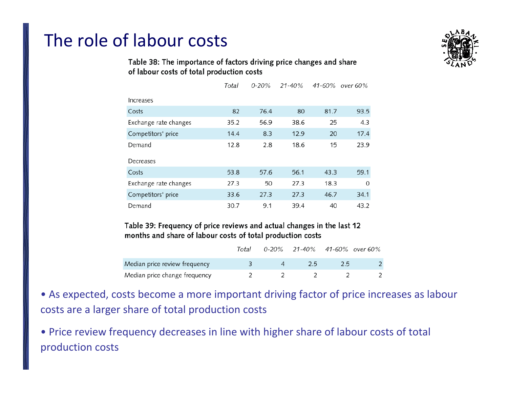# The role of labour costs



### Table 38: The importance of factors driving price changes and share of labour costs of total production costs

|                       | Total | $0 - 20\%$ | 21-40% |      | 41-60% over 60% |
|-----------------------|-------|------------|--------|------|-----------------|
| Increases             |       |            |        |      |                 |
| Costs                 | 82    | 76.4       | 80     | 81.7 | 93.5            |
| Exchange rate changes | 35.2  | 56.9       | 38.6   | 25   | 4.3             |
| Competitors' price    | 14.4  | 8.3        | 12.9   | 20   | 17.4            |
| Demand                | 12.8  | 2.8        | 18.6   | 15   | 23.9            |
| Decreases             |       |            |        |      |                 |
| Costs                 | 53.8  | 57.6       | 56.1   | 43.3 | 59.1            |
| Exchange rate changes | 27.3  | 50         | 27.3   | 18.3 | O               |
| Competitors' price    | 33.6  | 27.3       | 27.3   | 46.7 | 34.1            |
| Demand                | 30.7  | 9.1        | 39.4   | 40   | 43.2            |

### Table 39: Frequency of price reviews and actual changes in the last 12 months and share of labour costs of total production costs

|                               | Total | $0-20\%$ 21-40% 41-60% over 60% |     |  |
|-------------------------------|-------|---------------------------------|-----|--|
| Median price review frequency |       | フら                              | 2.5 |  |
| Median price change frequency |       |                                 |     |  |

• As expected, costs become <sup>a</sup> more important driving factor of price increases as labour costs are <sup>a</sup> larger share of total production costs

• Price review frequency decreases in line with higher share of labour costs of total production costs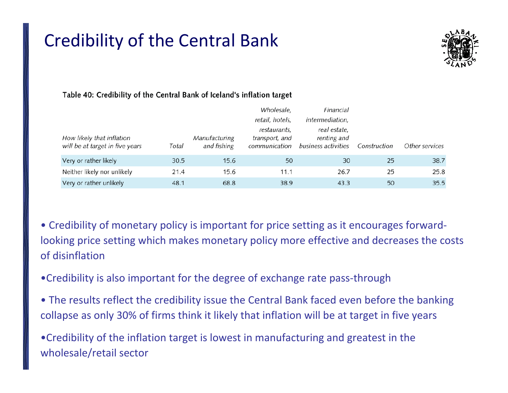# Credibility of the Central Bank



### Table 40: Credibility of the Central Bank of Iceland's inflation target

|                                                              |       |                              | Wholesale,                                      | Financial                                          |              |                |
|--------------------------------------------------------------|-------|------------------------------|-------------------------------------------------|----------------------------------------------------|--------------|----------------|
|                                                              |       |                              | retail, hotels,                                 | intermediation,                                    |              |                |
| How likely that inflation<br>will be at target in five years | Total | Manufacturing<br>and fishing | restaurants,<br>transport, and<br>communication | real estate,<br>renting and<br>business activities | Construction | Other services |
| Very or rather likely                                        | 30.5  | 15.6                         | 50                                              | 30                                                 | 25           | 38.7           |
| Neither likely nor unlikely                                  | 21.4  | 15.6                         | 11.1                                            | 26.7                                               | 25           | 25.8           |
| Very or rather unlikely                                      | 48.1  | 68.8                         | 38.9                                            | 43.3                                               | 50           | 35.5           |

- Credibility of monetary policy is important for price setting as it encourages forward‐ looking price setting which makes monetary policy more effective and decreases the costs of disinflation
- •Credibility is also important for the degree of exchange rate pass‐through
- The results reflect the credibility issue the Central Bank faced even before the banking collapse as only 30% of firms think it likely that inflation will be at target in five years

•Credibility of the inflation target is lowest in manufacturing and greatest in the wholesale/retail sector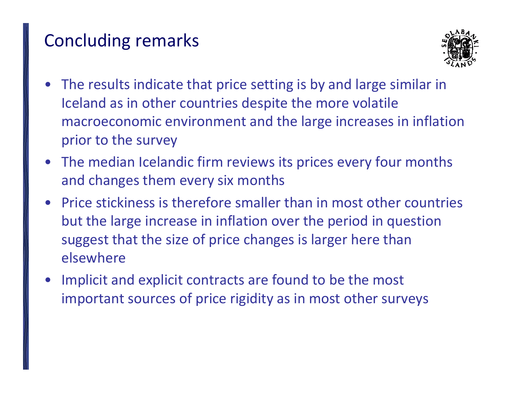# Concluding remarks



- The results indicate that price setting is by and large similar in Iceland as in other countries despite the more volatile macroeconomic environment and the large increases in inflation prior to the survey
- The median Icelandic firm reviews its prices every four months and changes them every six months
- Price stickiness is therefore smaller than in most other countries but the large increase in inflation over the period in question suggest that the size of price changes is larger here than elsewhere
- • Implicit and explicit contracts are found to be the most important sources of price rigidity as in most other surveys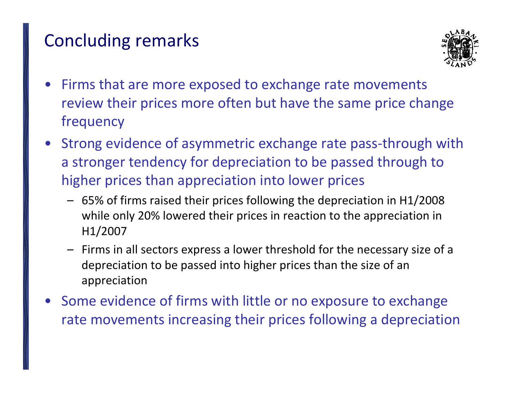# Concluding remarks



- • Firms that are more exposed to exchange rate movements review their prices more often but have the same price change frequency
- Strong evidence of asymmetric exchange rate pass‐through with a stronger tendency for depreciation to be passed through to higher prices than appreciation into lower prices
	- 65% of firms raised their prices following the depreciation in H1/2008 while only 20% lowered their prices in reaction to the appreciation in H1/2007
	- Firms in all sectors express <sup>a</sup> lower threshold for the necessary size of <sup>a</sup> depreciation to be passed into higher prices than the size of an appreciation
- Some evidence of firms with little or no exposure to exchange rate movements increasing their prices following <sup>a</sup> depreciation